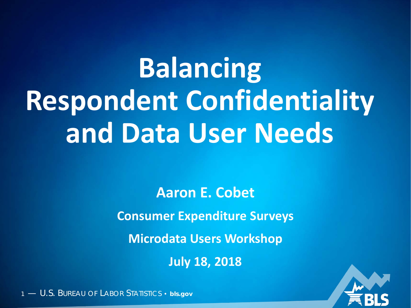# **Balancing Respondent Confidentiality and Data User Needs**

**Aaron E. Cobet**

**Consumer Expenditure Surveys**

**Microdata Users Workshop**

**July 18, 2018**

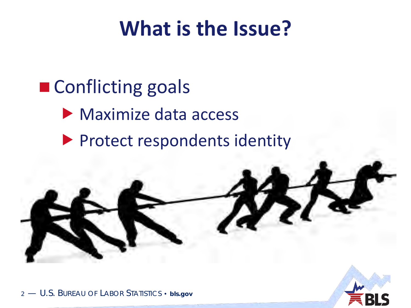## **What is the Issue?**

- Conflicting goals
	- **Maximize data access**
	- **Protect respondents identity**



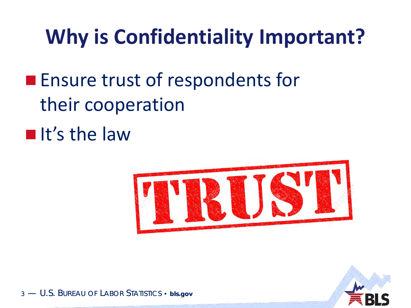## **Why is Confidentiality Important?**

- **Ensure trust of respondents for** their cooperation
- $\blacksquare$ It's the law



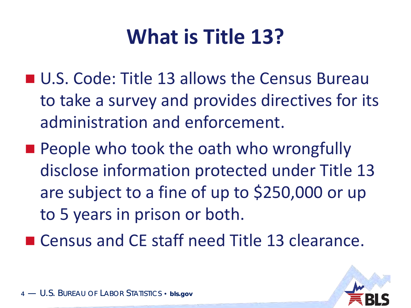## **What is Title 13?**

- U.S. Code: Title 13 allows the Census Bureau to take a survey and provides directives for its administration and enforcement.
- **People who took the oath who wrongfully** disclose information protected under Title 13 are subject to a fine of up to \$250,000 or up to 5 years in prison or both.
- Census and CE staff need Title 13 clearance.

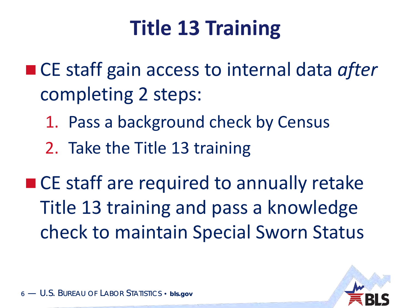## **Title 13 Training**

- CE staff gain access to internal data *after* completing 2 steps:
	- 1. Pass a background check by Census
	- 2. Take the Title 13 training

■ CE staff are required to annually retake Title 13 training and pass a knowledge check to maintain Special Sworn Status

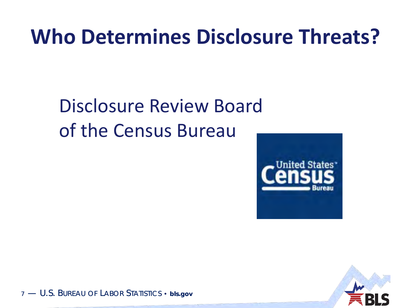## **Who Determines Disclosure Threats?**

#### Disclosure Review Board of the Census Bureau





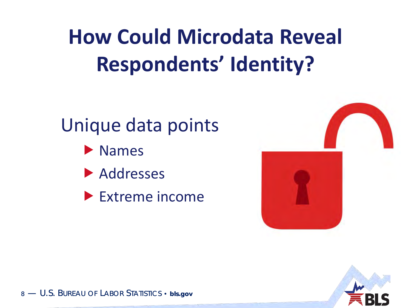## **How Could Microdata Reveal Respondents' Identity?**

## Unique data points

- Names
- **Addresses**
- ▶ Extreme income



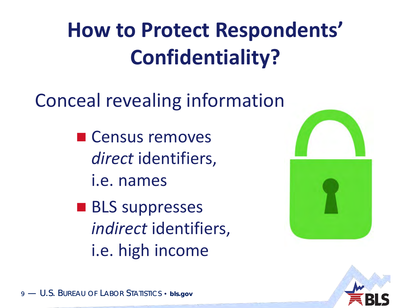## **How to Protect Respondents' Confidentiality?**

## Conceal revealing information

- Census removes *direct* identifiers, i.e. names
- **BLS** suppresses *indirect* identifiers, i.e. high income



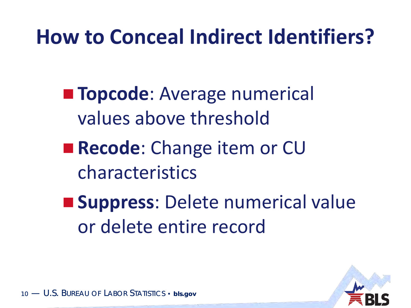## **How to Conceal Indirect Identifiers?**

**Topcode:** Average numerical values above threshold

**Recode:** Change item or CU characteristics

 **Suppress**: Delete numerical value or delete entire record

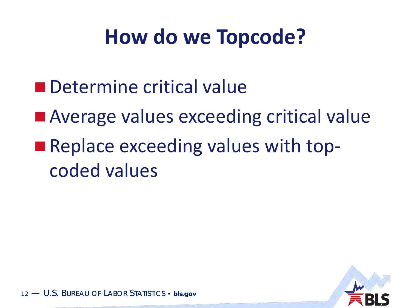## **How do we Topcode?**

- **n** Determine critical value
- Average values exceeding critical value
- **Replace exceeding values with top**coded values

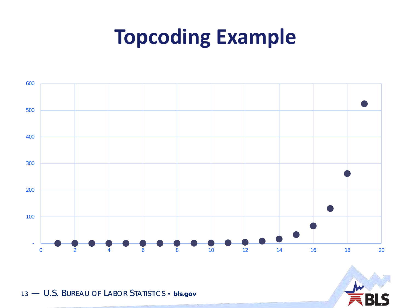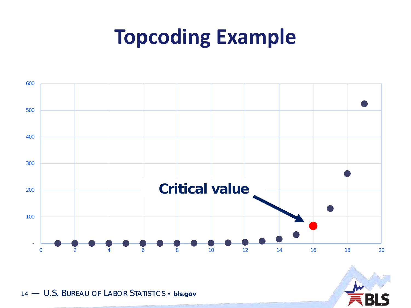

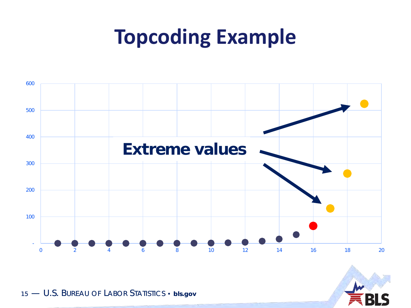

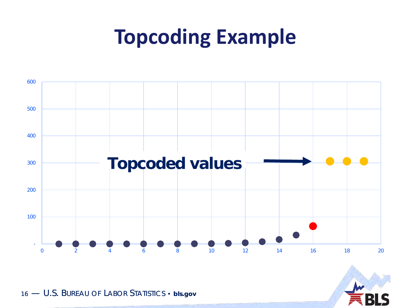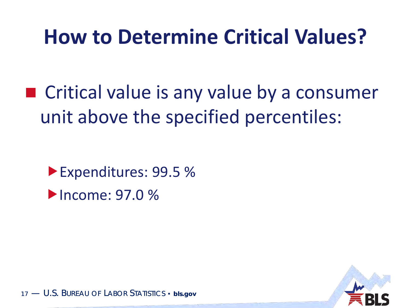## **How to Determine Critical Values?**

■ Critical value is any value by a consumer unit above the specified percentiles:

Expenditures: 99.5 % **Income: 97.0 %** 

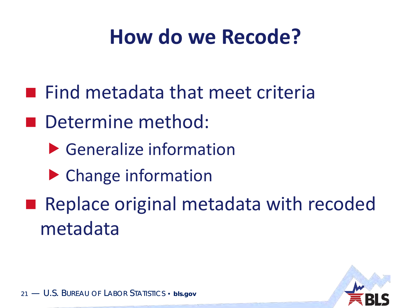## **How do we Recode?**

- **Find metadata that meet criteria**
- Determine method:
	- Generalize information
	- ▶ Change information
- Replace original metadata with recoded metadata

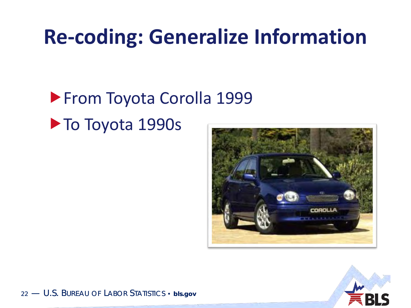## **Re-coding: Generalize Information**

#### **From Toyota Corolla 1999** ▶ To Toyota 1990s



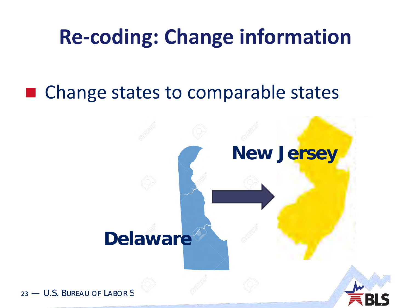## **Re-coding: Change information**

#### ■ Change states to comparable states

# **Delaware New Jersey**

23 — U.S. BURFAU OF LABOR S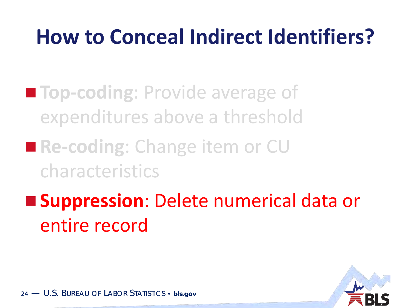## **How to Conceal Indirect Identifiers?**

- **Top-coding**: Provide average of expenditures above a threshold
- Re-coding: Change item or CU characteristics
- **Suppression**: Delete numerical data or entire record

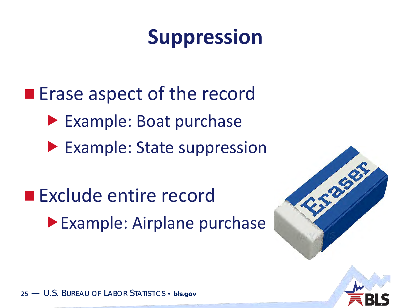## **Suppression**

**Example 2 Erase aspect of the record**  Example: Boat purchase ▶ Example: State suppression

**Exclude entire record Example: Airplane purchase** 

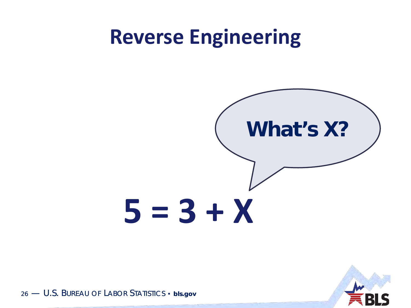#### **Reverse Engineering**



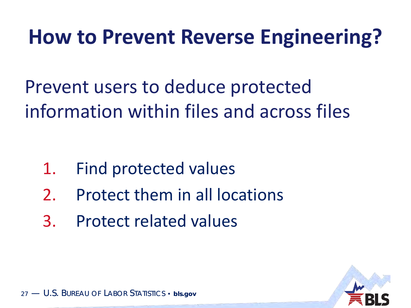## **How to Prevent Reverse Engineering?**

Prevent users to deduce protected information within files and across files

- 1. Find protected values
- 2. Protect them in all locations
- 3. Protect related values

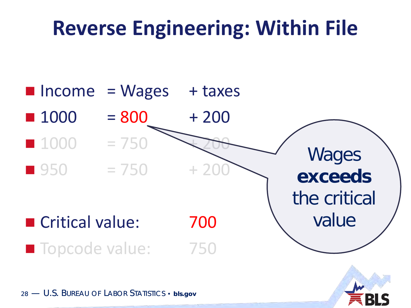## **Reverse Engineering: Within File**

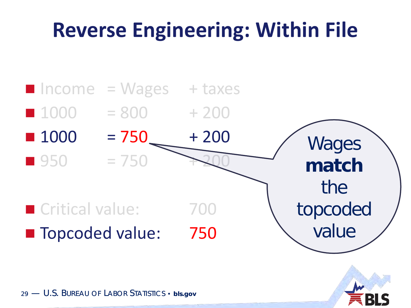## **Reverse Engineering: Within File**



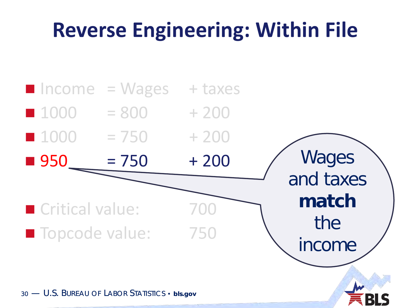## **Reverse Engineering: Within File**

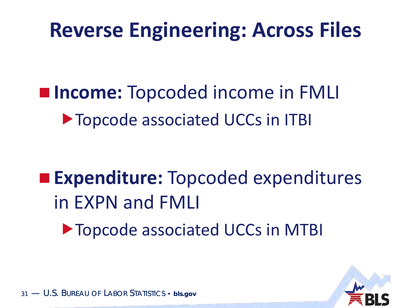## **Reverse Engineering: Across Files**

 **Income:** Topcoded income in FMLI Topcode associated UCCs in ITBI

## **Expenditure:** Topcoded expenditures in EXPN and FMLI

Topcode associated UCCs in MTBI

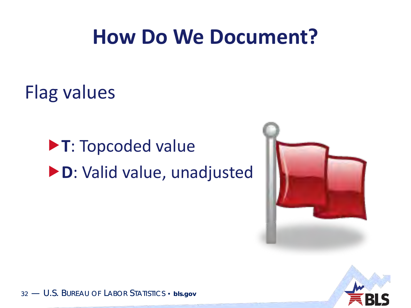## **How Do We Document?**

Flag values

**T**: Topcoded value **D**: Valid value, unadjusted



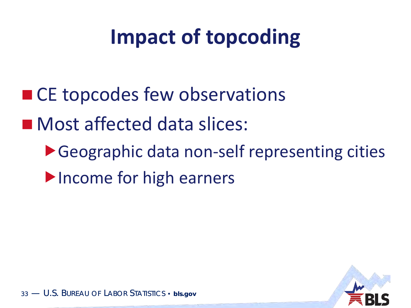## **Impact of topcoding**

- CE topcodes few observations
- **Most affected data slices:** 
	- ▶ Geographic data non-self representing cities Income for high earners

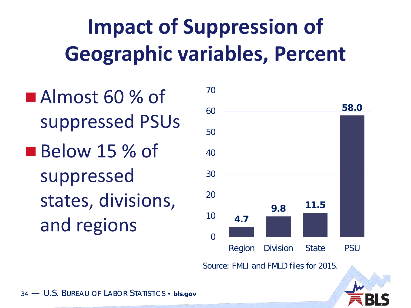## **Impact of Suppression of Geographic variables, Percent**

Almost 60 % of suppressed PSUs Below 15 % of suppressed states, divisions, and regions



Source: FMLI and FMLD files for 2015.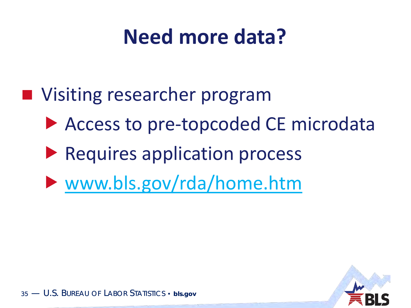## **Need more data?**

- Visiting researcher program
	- Access to pre-topcoded CE microdata
	- **Requires application process**
	- [www.bls.gov/rda/home.htm](https://www.bls.gov/rda/home.htm)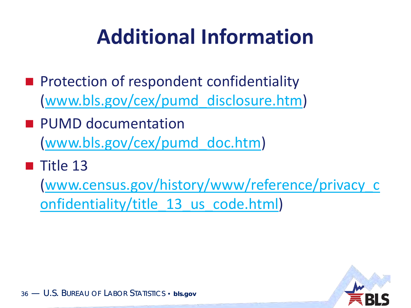## **Additional Information**

- **Protection of respondent confidentiality** ([www.bls.gov/cex/pumd\\_disclosure.htm](https://www.bls.gov/cex/pumd_disclosure.htm))
- **PUMD documentation** ([www.bls.gov/cex/pumd\\_doc.htm](http://www.bls.gov/cex/pumd_doc.htm))
- $\blacksquare$  Title 13

[\(www.census.gov/history/www/reference/privacy\\_c](http://www.census.gov/history/www/reference/privacy_confidentiality/title_13_us_code.html) onfidentiality/title 13 us code.html)